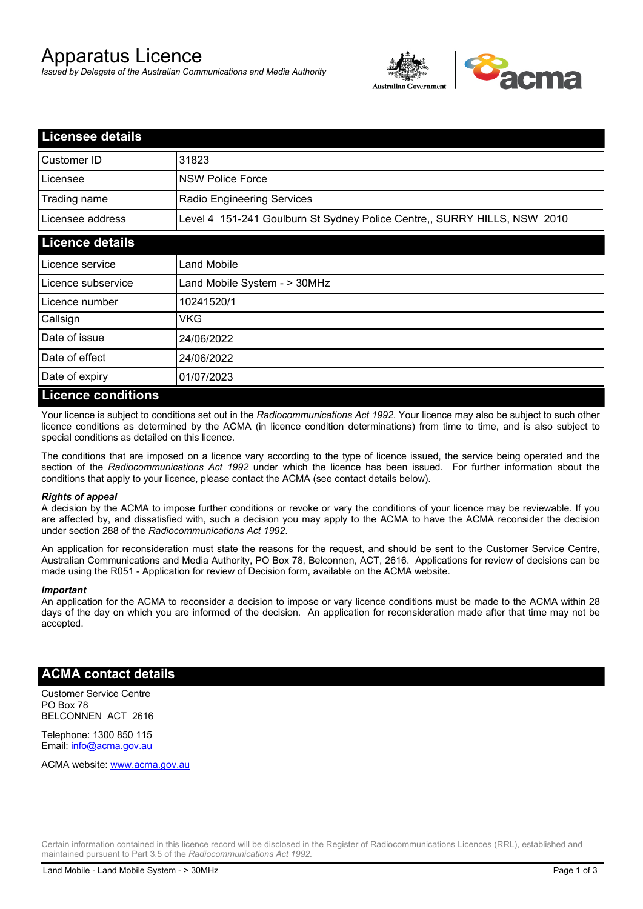# Apparatus Licence

*Issued by Delegate of the Australian Communications and Media Authority*



| <b>Licensee details</b> |                                                                          |
|-------------------------|--------------------------------------------------------------------------|
| Customer ID             | 31823                                                                    |
| Licensee                | <b>NSW Police Force</b>                                                  |
| Trading name            | <b>Radio Engineering Services</b>                                        |
| Licensee address        | Level 4 151-241 Goulburn St Sydney Police Centre,, SURRY HILLS, NSW 2010 |
| <b>Licence details</b>  |                                                                          |
| l Licence service       | Land Mobile                                                              |
| Licence subservice      | Land Mobile System - > 30MHz                                             |
| l Licence number        | 10241520/1                                                               |
| Callsign                | VKG                                                                      |
| Date of issue           | 24/06/2022                                                               |
| Date of effect          | 24/06/2022                                                               |
| Date of expiry          | 01/07/2023                                                               |
| Licance conditions      |                                                                          |

### **Licence conditions**

Your licence is subject to conditions set out in the *Radiocommunications Act 1992*. Your licence may also be subject to such other licence conditions as determined by the ACMA (in licence condition determinations) from time to time, and is also subject to special conditions as detailed on this licence.

The conditions that are imposed on a licence vary according to the type of licence issued, the service being operated and the section of the *Radiocommunications Act 1992* under which the licence has been issued. For further information about the conditions that apply to your licence, please contact the ACMA (see contact details below).

### *Rights of appeal*

A decision by the ACMA to impose further conditions or revoke or vary the conditions of your licence may be reviewable. If you are affected by, and dissatisfied with, such a decision you may apply to the ACMA to have the ACMA reconsider the decision under section 288 of the *Radiocommunications Act 1992*.

An application for reconsideration must state the reasons for the request, and should be sent to the Customer Service Centre, Australian Communications and Media Authority, PO Box 78, Belconnen, ACT, 2616. Applications for review of decisions can be made using the R051 - Application for review of Decision form, available on the ACMA website.

#### *Important*

An application for the ACMA to reconsider a decision to impose or vary licence conditions must be made to the ACMA within 28 days of the day on which you are informed of the decision. An application for reconsideration made after that time may not be accepted.

### **ACMA contact details**

Customer Service Centre PO Box 78 BELCONNEN ACT 2616

Telephone: 1300 850 115 Email: info@acma.gov.au

ACMA website: www.acma.gov.au

Certain information contained in this licence record will be disclosed in the Register of Radiocommunications Licences (RRL), established and maintained pursuant to Part 3.5 of the *Radiocommunications Act 1992.*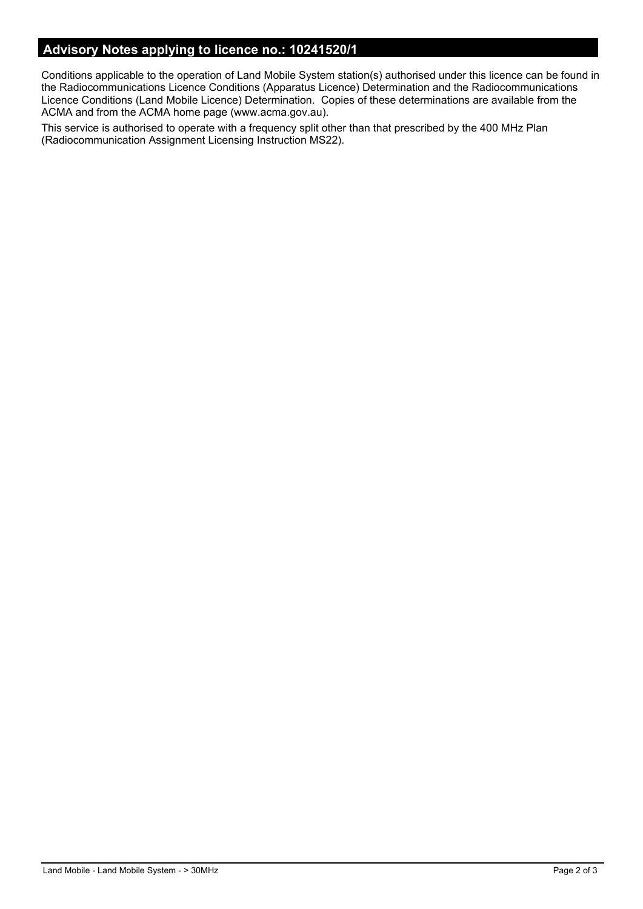# **Advisory Notes applying to licence no.: 10241520/1**

Conditions applicable to the operation of Land Mobile System station(s) authorised under this licence can be found in the Radiocommunications Licence Conditions (Apparatus Licence) Determination and the Radiocommunications Licence Conditions (Land Mobile Licence) Determination. Copies of these determinations are available from the ACMA and from the ACMA home page (www.acma.gov.au).

This service is authorised to operate with a frequency split other than that prescribed by the 400 MHz Plan (Radiocommunication Assignment Licensing Instruction MS22).